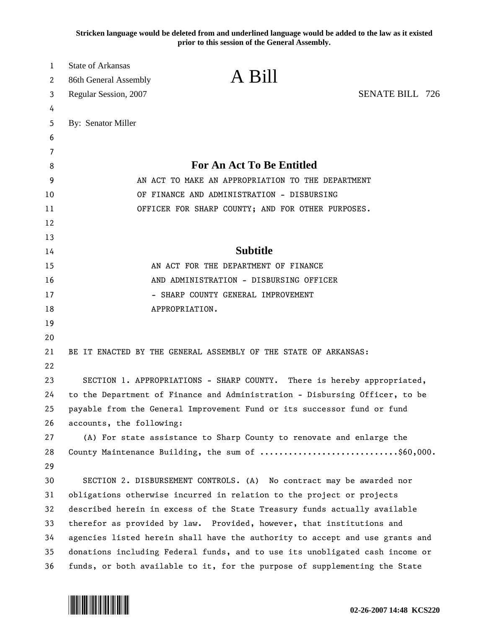**Stricken language would be deleted from and underlined language would be added to the law as it existed prior to this session of the General Assembly.**

| 1  | <b>State of Arkansas</b>                                                     |                                                                       |                        |  |
|----|------------------------------------------------------------------------------|-----------------------------------------------------------------------|------------------------|--|
| 2  | 86th General Assembly                                                        | A Bill                                                                |                        |  |
| 3  | Regular Session, 2007                                                        |                                                                       | <b>SENATE BILL 726</b> |  |
| 4  |                                                                              |                                                                       |                        |  |
| 5  | By: Senator Miller                                                           |                                                                       |                        |  |
| 6  |                                                                              |                                                                       |                        |  |
| 7  |                                                                              |                                                                       |                        |  |
| 8  |                                                                              | For An Act To Be Entitled                                             |                        |  |
| 9  | AN ACT TO MAKE AN APPROPRIATION TO THE DEPARTMENT                            |                                                                       |                        |  |
| 10 | OF FINANCE AND ADMINISTRATION - DISBURSING                                   |                                                                       |                        |  |
| 11 | OFFICER FOR SHARP COUNTY; AND FOR OTHER PURPOSES.                            |                                                                       |                        |  |
| 12 |                                                                              |                                                                       |                        |  |
| 13 |                                                                              |                                                                       |                        |  |
| 14 |                                                                              | <b>Subtitle</b>                                                       |                        |  |
| 15 | AN ACT FOR THE DEPARTMENT OF FINANCE                                         |                                                                       |                        |  |
| 16 | AND ADMINISTRATION - DISBURSING OFFICER                                      |                                                                       |                        |  |
| 17 | - SHARP COUNTY GENERAL IMPROVEMENT                                           |                                                                       |                        |  |
| 18 | APPROPRIATION.                                                               |                                                                       |                        |  |
| 19 |                                                                              |                                                                       |                        |  |
| 20 |                                                                              |                                                                       |                        |  |
| 21 |                                                                              | BE IT ENACTED BY THE GENERAL ASSEMBLY OF THE STATE OF ARKANSAS:       |                        |  |
| 22 |                                                                              |                                                                       |                        |  |
| 23 | SECTION 1. APPROPRIATIONS - SHARP COUNTY. There is hereby appropriated,      |                                                                       |                        |  |
| 24 | to the Department of Finance and Administration - Disbursing Officer, to be  |                                                                       |                        |  |
| 25 | payable from the General Improvement Fund or its successor fund or fund      |                                                                       |                        |  |
| 26 | accounts, the following:                                                     |                                                                       |                        |  |
| 27 | (A) For state assistance to Sharp County to renovate and enlarge the         |                                                                       |                        |  |
| 28 |                                                                              | County Maintenance Building, the sum of \$60,000.                     |                        |  |
| 29 |                                                                              |                                                                       |                        |  |
| 30 |                                                                              | SECTION 2. DISBURSEMENT CONTROLS. (A) No contract may be awarded nor  |                        |  |
| 31 |                                                                              | obligations otherwise incurred in relation to the project or projects |                        |  |
| 32 | described herein in excess of the State Treasury funds actually available    |                                                                       |                        |  |
| 33 | therefor as provided by law. Provided, however, that institutions and        |                                                                       |                        |  |
| 34 | agencies listed herein shall have the authority to accept and use grants and |                                                                       |                        |  |
| 35 | donations including Federal funds, and to use its unobligated cash income or |                                                                       |                        |  |
| 36 | funds, or both available to it, for the purpose of supplementing the State   |                                                                       |                        |  |